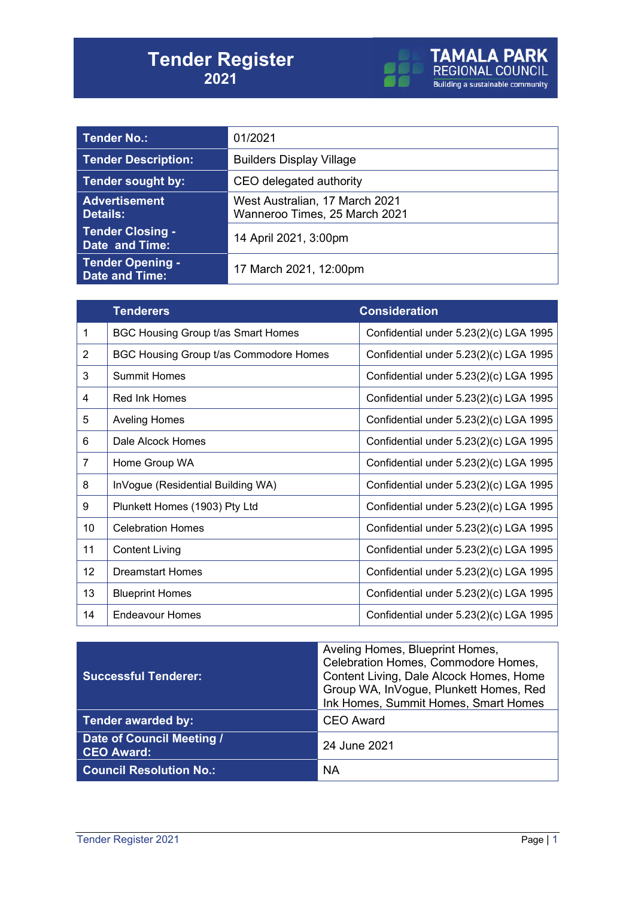

| <b>Tender No.:</b>                               | 01/2021                                                         |  |
|--------------------------------------------------|-----------------------------------------------------------------|--|
| <b>Tender Description:</b>                       | <b>Builders Display Village</b>                                 |  |
| Tender sought by:                                | CEO delegated authority                                         |  |
| <b>Advertisement</b><br><b>Details:</b>          | West Australian, 17 March 2021<br>Wanneroo Times, 25 March 2021 |  |
| <b>Tender Closing -</b><br><b>Date and Time:</b> | 14 April 2021, 3:00pm                                           |  |
| <b>Tender Opening -</b><br><b>Date and Time:</b> | 17 March 2021, 12:00pm                                          |  |

|    | <b>Tenderers</b>                       | <b>Consideration</b>                   |
|----|----------------------------------------|----------------------------------------|
| 1  | BGC Housing Group t/as Smart Homes     | Confidential under 5.23(2)(c) LGA 1995 |
| 2  | BGC Housing Group t/as Commodore Homes | Confidential under 5.23(2)(c) LGA 1995 |
| 3  | <b>Summit Homes</b>                    | Confidential under 5.23(2)(c) LGA 1995 |
| 4  | <b>Red Ink Homes</b>                   | Confidential under 5.23(2)(c) LGA 1995 |
| 5  | <b>Aveling Homes</b>                   | Confidential under 5.23(2)(c) LGA 1995 |
| 6  | Dale Alcock Homes                      | Confidential under 5.23(2)(c) LGA 1995 |
| 7  | Home Group WA                          | Confidential under 5.23(2)(c) LGA 1995 |
| 8  | InVogue (Residential Building WA)      | Confidential under 5.23(2)(c) LGA 1995 |
| 9  | Plunkett Homes (1903) Pty Ltd          | Confidential under 5.23(2)(c) LGA 1995 |
| 10 | <b>Celebration Homes</b>               | Confidential under 5.23(2)(c) LGA 1995 |
| 11 | <b>Content Living</b>                  | Confidential under 5.23(2)(c) LGA 1995 |
| 12 | <b>Dreamstart Homes</b>                | Confidential under 5.23(2)(c) LGA 1995 |
| 13 | <b>Blueprint Homes</b>                 | Confidential under 5.23(2)(c) LGA 1995 |
| 14 | <b>Endeavour Homes</b>                 | Confidential under 5.23(2)(c) LGA 1995 |

| <b>Successful Tenderer:</b>                    | Aveling Homes, Blueprint Homes,<br>Celebration Homes, Commodore Homes,<br>Content Living, Dale Alcock Homes, Home<br>Group WA, InVogue, Plunkett Homes, Red<br>Ink Homes, Summit Homes, Smart Homes |
|------------------------------------------------|-----------------------------------------------------------------------------------------------------------------------------------------------------------------------------------------------------|
| <b>Tender awarded by:</b>                      | <b>CEO Award</b>                                                                                                                                                                                    |
| Date of Council Meeting /<br><b>CEO Award:</b> | 24 June 2021                                                                                                                                                                                        |
| <b>Council Resolution No.:</b>                 | <b>NA</b>                                                                                                                                                                                           |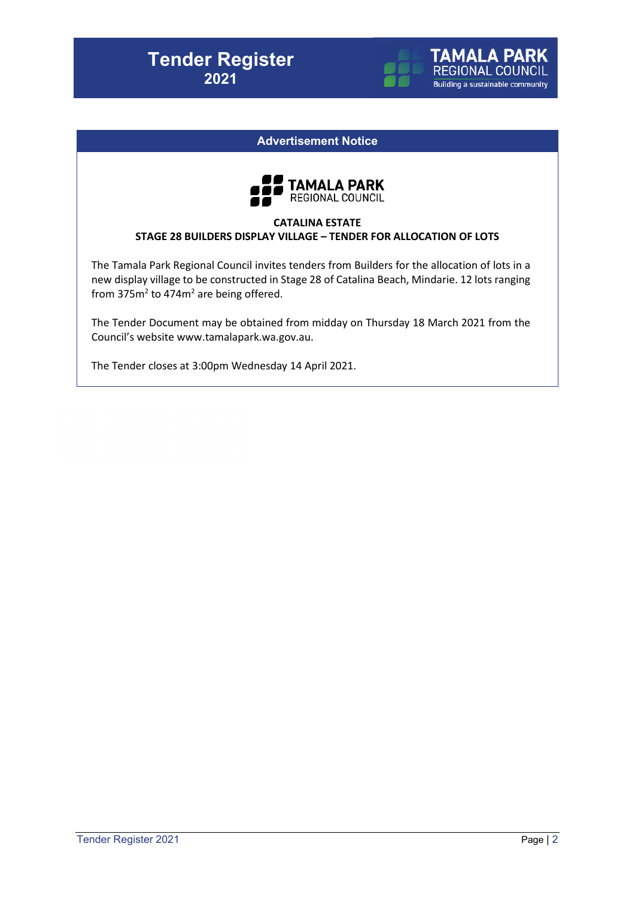

**TAMALA PARK** REGIONAL COUNCIL **Building a sustainable community** 



### **CATALINA ESTATE STAGE 28 BUILDERS DISPLAY VILLAGE – TENDER FOR ALLOCATION OF LOTS**

The Tamala Park Regional Council invites tenders from Builders for the allocation of lots in a new display village to be constructed in Stage 28 of Catalina Beach, Mindarie. 12 lots ranging from  $375m^2$  to  $474m^2$  are being offered.

The Tender Document may be obtained from midday on Thursday 18 March 2021 from the Council's website www.tamalapark.wa.gov.au.

The Tender closes at 3:00pm Wednesday 14 April 2021.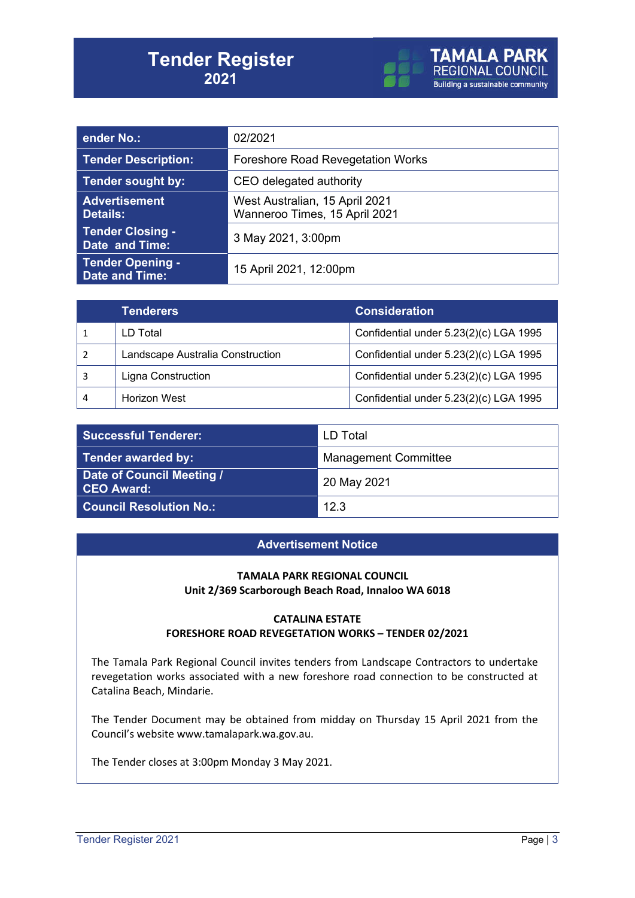

| ender No.:                                       | 02/2021                                                         |  |
|--------------------------------------------------|-----------------------------------------------------------------|--|
| <b>Tender Description:</b>                       | <b>Foreshore Road Revegetation Works</b>                        |  |
| Tender sought by:                                | CEO delegated authority                                         |  |
| <b>Advertisement</b><br><b>Details:</b>          | West Australian, 15 April 2021<br>Wanneroo Times, 15 April 2021 |  |
| <b>Tender Closing -</b><br>Date and Time:        | 3 May 2021, 3:00pm                                              |  |
| <b>Tender Opening -</b><br><b>Date and Time:</b> | 15 April 2021, 12:00pm                                          |  |

| <b>Tenderers</b>                 | <b>Consideration</b>                   |
|----------------------------------|----------------------------------------|
| LD Total                         | Confidential under 5.23(2)(c) LGA 1995 |
| Landscape Australia Construction | Confidential under 5.23(2)(c) LGA 1995 |
| <b>Ligna Construction</b>        | Confidential under 5.23(2)(c) LGA 1995 |
| <b>Horizon West</b>              | Confidential under 5.23(2)(c) LGA 1995 |

| <b>Successful Tenderer:</b>                    | LD Total                    |
|------------------------------------------------|-----------------------------|
| <b>Tender awarded by:</b>                      | <b>Management Committee</b> |
| Date of Council Meeting /<br><b>CEO Award:</b> | 20 May 2021                 |
| <b>Council Resolution No.:</b>                 | 12.3                        |

### **Advertisement Notice**

#### **TAMALA PARK REGIONAL COUNCIL Unit 2/369 Scarborough Beach Road, Innaloo WA 6018**

#### **CATALINA ESTATE FORESHORE ROAD REVEGETATION WORKS – TENDER 02/2021**

The Tamala Park Regional Council invites tenders from Landscape Contractors to undertake revegetation works associated with a new foreshore road connection to be constructed at Catalina Beach, Mindarie.

The Tender Document may be obtained from midday on Thursday 15 April 2021 from the Council's website www.tamalapark.wa.gov.au.

The Tender closes at 3:00pm Monday 3 May 2021.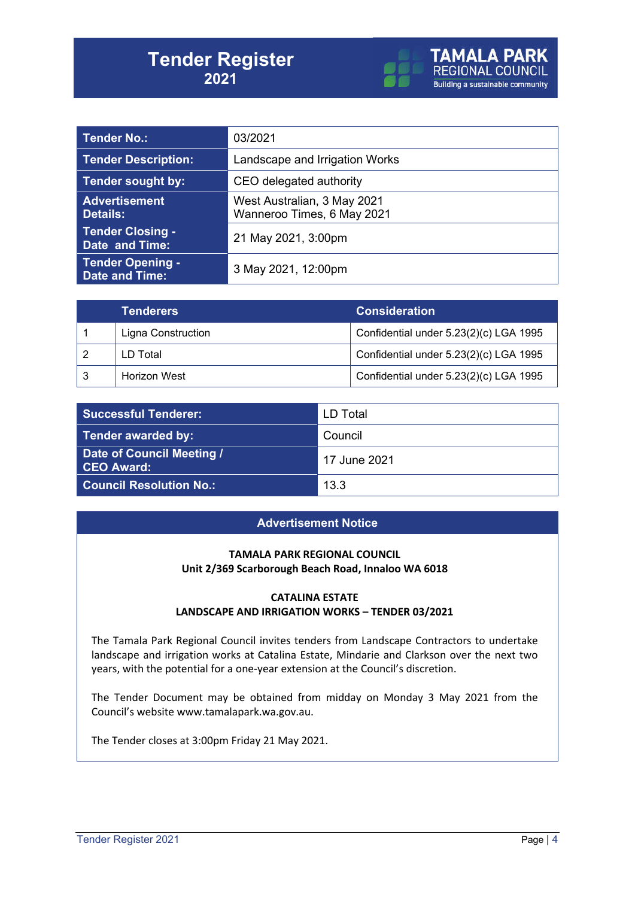

| <b>Tender No.:</b>                               | 03/2021                                                   |  |
|--------------------------------------------------|-----------------------------------------------------------|--|
| <b>Tender Description:</b>                       | Landscape and Irrigation Works                            |  |
| <b>Tender sought by:</b>                         | CEO delegated authority                                   |  |
| <b>Advertisement</b><br><b>Details:</b>          | West Australian, 3 May 2021<br>Wanneroo Times, 6 May 2021 |  |
| <b>Tender Closing -</b><br>Date and Time:        | 21 May 2021, 3:00pm                                       |  |
| <b>Tender Opening -</b><br><b>Date and Time:</b> | 3 May 2021, 12:00pm                                       |  |

| <b>Tenderers</b>          | <b>Consideration</b>                   |
|---------------------------|----------------------------------------|
| <b>Ligna Construction</b> | Confidential under 5.23(2)(c) LGA 1995 |
| LD Total                  | Confidential under 5.23(2)(c) LGA 1995 |
| Horizon West              | Confidential under 5.23(2)(c) LGA 1995 |

| <b>Successful Tenderer:</b>             | LD Total     |
|-----------------------------------------|--------------|
| Tender awarded by:                      | Council      |
| Date of Council Meeting /<br>CEO Award: | 17 June 2021 |
| <b>Council Resolution No.:</b>          | 13.3         |

### **Advertisement Notice**

### **TAMALA PARK REGIONAL COUNCIL Unit 2/369 Scarborough Beach Road, Innaloo WA 6018**

#### **CATALINA ESTATE LANDSCAPE AND IRRIGATION WORKS – TENDER 03/2021**

The Tamala Park Regional Council invites tenders from Landscape Contractors to undertake landscape and irrigation works at Catalina Estate, Mindarie and Clarkson over the next two years, with the potential for a one-year extension at the Council's discretion.

The Tender Document may be obtained from midday on Monday 3 May 2021 from the Council's website www.tamalapark.wa.gov.au.

The Tender closes at 3:00pm Friday 21 May 2021.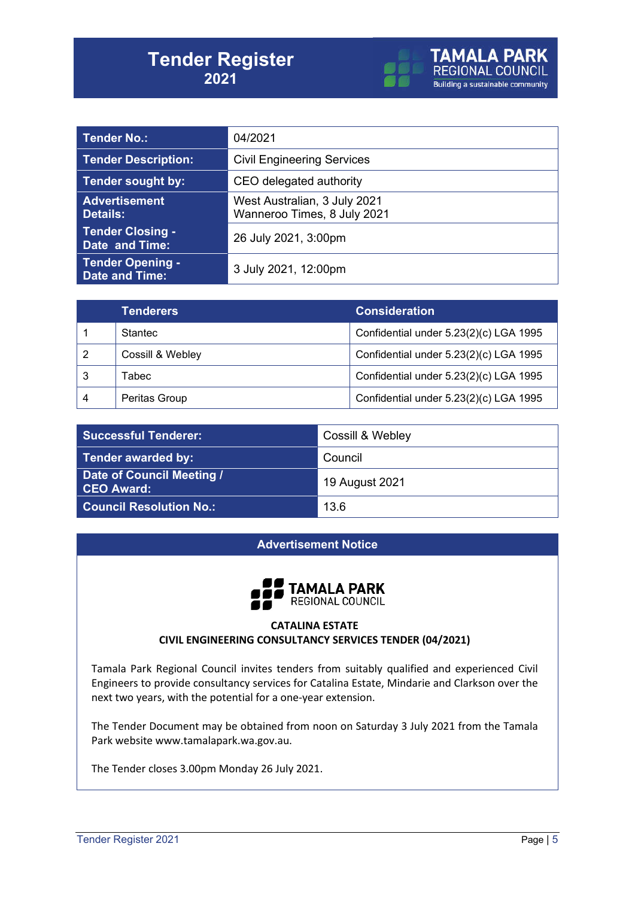

| <b>Tender No.:</b>                               | 04/2021                                                     |  |
|--------------------------------------------------|-------------------------------------------------------------|--|
| <b>Tender Description:</b>                       | <b>Civil Engineering Services</b>                           |  |
| <b>Tender sought by:</b>                         | CEO delegated authority                                     |  |
| <b>Advertisement</b><br><b>Details:</b>          | West Australian, 3 July 2021<br>Wanneroo Times, 8 July 2021 |  |
| <b>Tender Closing -</b><br>Date and Time:        | 26 July 2021, 3:00pm                                        |  |
| <b>Tender Opening -</b><br><b>Date and Time:</b> | 3 July 2021, 12:00pm                                        |  |

| <b>Tenderers</b> | <b>Consideration</b>                   |
|------------------|----------------------------------------|
| Stantec          | Confidential under 5.23(2)(c) LGA 1995 |
| Cossill & Webley | Confidential under 5.23(2)(c) LGA 1995 |
| Tabecl           | Confidential under 5.23(2)(c) LGA 1995 |
| Peritas Group    | Confidential under 5.23(2)(c) LGA 1995 |

| <b>Successful Tenderer:</b>                    | Cossill & Webley |
|------------------------------------------------|------------------|
| <b>Tender awarded by:</b>                      | Council          |
| Date of Council Meeting /<br><b>CEO Award:</b> | 19 August 2021   |
| <b>Council Resolution No.:</b>                 | 13.6             |

### **Advertisement Notice**



### **CATALINA ESTATE CIVIL ENGINEERING CONSULTANCY SERVICES TENDER (04/2021)**

Tamala Park Regional Council invites tenders from suitably qualified and experienced Civil Engineers to provide consultancy services for Catalina Estate, Mindarie and Clarkson over the next two years, with the potential for a one-year extension.

The Tender Document may be obtained from noon on Saturday 3 July 2021 from the Tamala Park website www.tamalapark.wa.gov.au.

The Tender closes 3.00pm Monday 26 July 2021.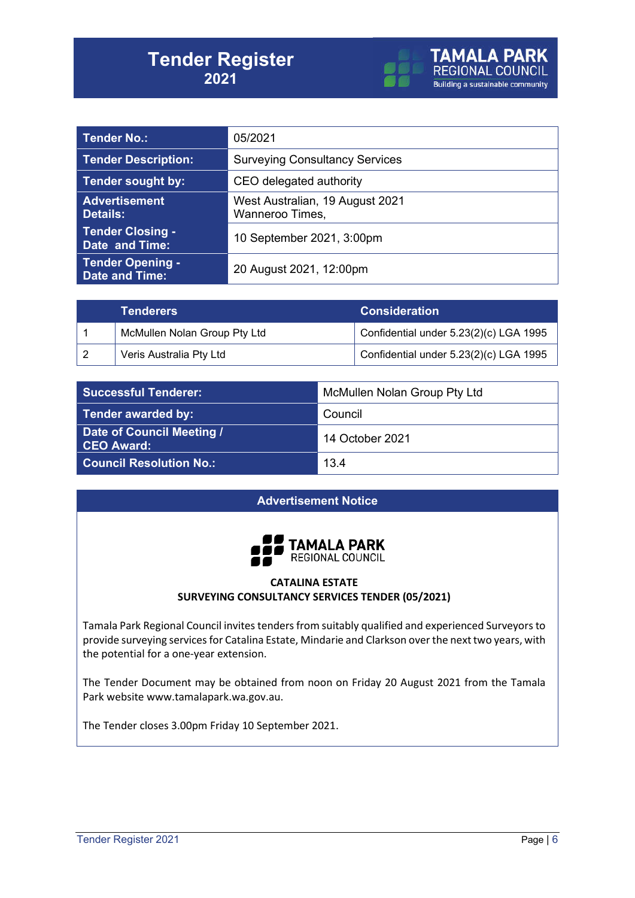

| Tender No.:                                      | 05/2021                                            |  |
|--------------------------------------------------|----------------------------------------------------|--|
| <b>Tender Description:</b>                       | <b>Surveying Consultancy Services</b>              |  |
| Tender sought by:                                | CEO delegated authority                            |  |
| <b>Advertisement</b><br><b>Details:</b>          | West Australian, 19 August 2021<br>Wanneroo Times, |  |
| <b>Tender Closing -</b><br>Date and Time:        | 10 September 2021, 3:00pm                          |  |
| <b>Tender Opening -</b><br><b>Date and Time:</b> | 20 August 2021, 12:00pm                            |  |

| Tenderers                    | <b>Consideration</b>                   |
|------------------------------|----------------------------------------|
| McMullen Nolan Group Pty Ltd | Confidential under 5.23(2)(c) LGA 1995 |
| Veris Australia Pty Ltd      | Confidential under 5.23(2)(c) LGA 1995 |

| Successful Tenderer:                           | McMullen Nolan Group Pty Ltd |
|------------------------------------------------|------------------------------|
| <b>Tender awarded by:</b>                      | Council                      |
| Date of Council Meeting /<br><b>CEO Award:</b> | 14 October 2021              |
| <b>Council Resolution No.:</b>                 | 13.4                         |

### **Advertisement Notice**



### **CATALINA ESTATE SURVEYING CONSULTANCY SERVICES TENDER (05/2021)**

Tamala Park Regional Council invites tenders from suitably qualified and experienced Surveyors to provide surveying services for Catalina Estate, Mindarie and Clarkson over the next two years, with the potential for a one-year extension.

The Tender Document may be obtained from noon on Friday 20 August 2021 from the Tamala Park website www.tamalapark.wa.gov.au.

The Tender closes 3.00pm Friday 10 September 2021.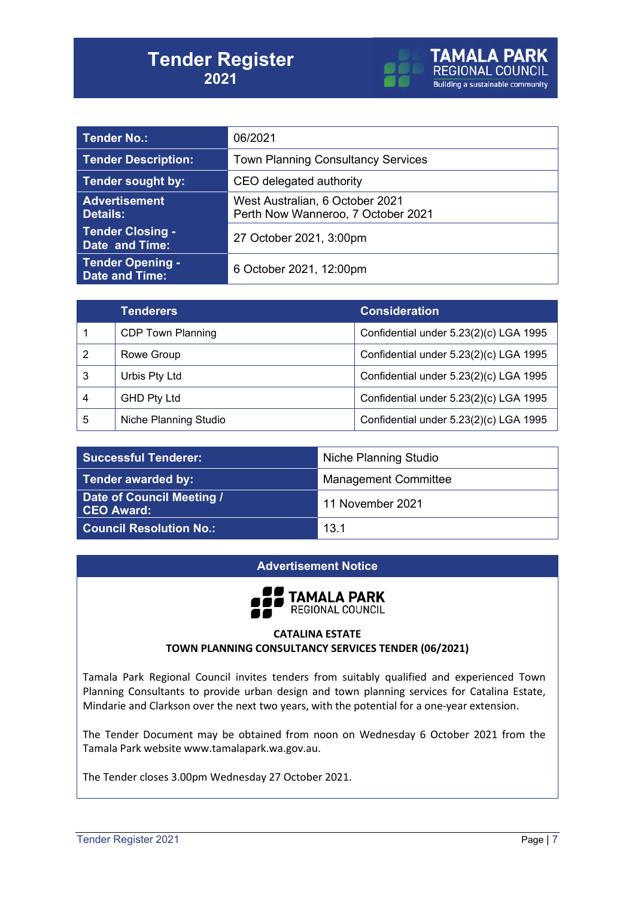

| Tender No.:                                      | 06/2021                                                               |  |
|--------------------------------------------------|-----------------------------------------------------------------------|--|
| <b>Tender Description:</b>                       | <b>Town Planning Consultancy Services</b>                             |  |
| Tender sought by:                                | CEO delegated authority                                               |  |
| <b>Advertisement</b><br><b>Details:</b>          | West Australian, 6 October 2021<br>Perth Now Wanneroo, 7 October 2021 |  |
| <b>Tender Closing -</b><br>Date and Time:        | 27 October 2021, 3:00pm                                               |  |
| <b>Tender Opening -</b><br><b>Date and Time:</b> | 6 October 2021, 12:00pm                                               |  |

|                | <b>Tenderers</b>         | <b>Consideration</b>                   |
|----------------|--------------------------|----------------------------------------|
|                | <b>CDP Town Planning</b> | Confidential under 5.23(2)(c) LGA 1995 |
| $\overline{2}$ | Rowe Group               | Confidential under 5.23(2)(c) LGA 1995 |
| 3              | Urbis Pty Ltd            | Confidential under 5.23(2)(c) LGA 1995 |
| 4              | <b>GHD Pty Ltd</b>       | Confidential under 5.23(2)(c) LGA 1995 |
| 5              | Niche Planning Studio    | Confidential under 5.23(2)(c) LGA 1995 |

| <b>Successful Tenderer:</b>             | Niche Planning Studio       |
|-----------------------------------------|-----------------------------|
| Tender awarded by:                      | <b>Management Committee</b> |
| Date of Council Meeting /<br>CEO Award: | 11 November 2021            |
| <b>Council Resolution No.:</b>          | 13.1                        |

### **Advertisement Notice**



### **CATALINA ESTATE TOWN PLANNING CONSULTANCY SERVICES TENDER (06/2021)**

Tamala Park Regional Council invites tenders from suitably qualified and experienced Town Planning Consultants to provide urban design and town planning services for Catalina Estate, Mindarie and Clarkson over the next two years, with the potential for a one-year extension.

The Tender Document may be obtained from noon on Wednesday 6 October 2021 from the Tamala Park website www.tamalapark.wa.gov.au.

The Tender closes 3.00pm Wednesday 27 October 2021.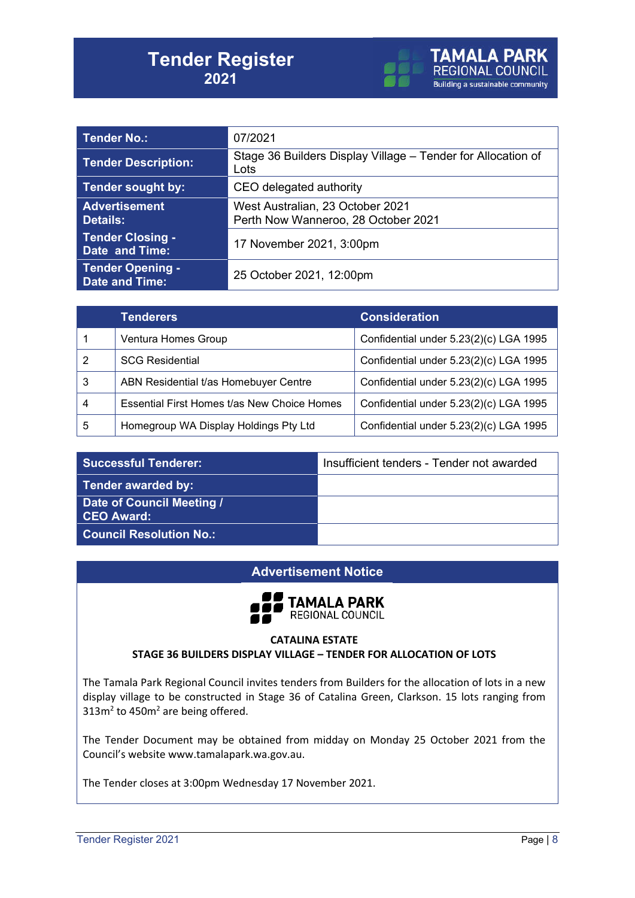

| Tender No.:                                      | 07/2021                                                                 |  |
|--------------------------------------------------|-------------------------------------------------------------------------|--|
| <b>Tender Description:</b>                       | Stage 36 Builders Display Village – Tender for Allocation of<br>Lots    |  |
| Tender sought by:                                | CEO delegated authority                                                 |  |
| <b>Advertisement</b><br><b>Details:</b>          | West Australian, 23 October 2021<br>Perth Now Wanneroo, 28 October 2021 |  |
| <b>Tender Closing -</b><br>Date and Time:        | 17 November 2021, 3:00pm                                                |  |
| <b>Tender Opening -</b><br><b>Date and Time:</b> | 25 October 2021, 12:00pm                                                |  |

|   | <b>Tenderers</b>                            | <b>Consideration</b>                   |
|---|---------------------------------------------|----------------------------------------|
|   | Ventura Homes Group                         | Confidential under 5.23(2)(c) LGA 1995 |
|   | <b>SCG Residential</b>                      | Confidential under 5.23(2)(c) LGA 1995 |
| 3 | ABN Residential t/as Homebuyer Centre       | Confidential under 5.23(2)(c) LGA 1995 |
|   | Essential First Homes t/as New Choice Homes | Confidential under 5.23(2)(c) LGA 1995 |
| 5 | Homegroup WA Display Holdings Pty Ltd       | Confidential under 5.23(2)(c) LGA 1995 |

**Successful Tenderer:** Insufficient tenders - Tender not awarded

**Tender awarded by:**

**Date of Council Meeting / CEO Award:**

**Council Resolution No.:**

### **Advertisement Notice**



#### **CATALINA ESTATE STAGE 36 BUILDERS DISPLAY VILLAGE – TENDER FOR ALLOCATION OF LOTS**

The Tamala Park Regional Council invites tenders from Builders for the allocation of lots in a new display village to be constructed in Stage 36 of Catalina Green, Clarkson. 15 lots ranging from  $313m<sup>2</sup>$  to 450 $m<sup>2</sup>$  are being offered.

The Tender Document may be obtained from midday on Monday 25 October 2021 from the Council's website www.tamalapark.wa.gov.au.

The Tender closes at 3:00pm Wednesday 17 November 2021.